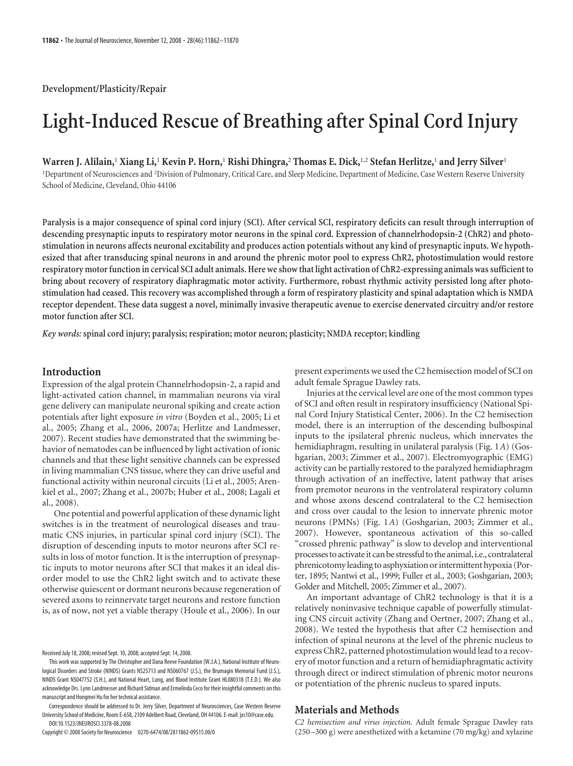**Development/Plasticity/Repair**

# **Light-Induced Rescue of Breathing after Spinal Cord Injury**

**Warren J. Alilain,**<sup>1</sup> **Xiang Li,**<sup>1</sup> **Kevin P. Horn,**<sup>1</sup> **Rishi Dhingra,**<sup>2</sup> **Thomas E. Dick,**1,2 **Stefan Herlitze,**<sup>1</sup> **and Jerry Silver**<sup>1</sup>

<sup>1</sup>Department of Neurosciences and <sup>2</sup>Division of Pulmonary, Critical Care, and Sleep Medicine, Department of Medicine, Case Western Reserve University School of Medicine, Cleveland, Ohio 44106

**Paralysis is a major consequence of spinal cord injury (SCI). After cervical SCI, respiratory deficits can result through interruption of descending presynaptic inputs to respiratory motor neurons in the spinal cord. Expression of channelrhodopsin-2 (ChR2) and photostimulation in neurons affects neuronal excitability and produces action potentials without any kind of presynaptic inputs. We hypothesized that after transducing spinal neurons in and around the phrenic motor pool to express ChR2, photostimulation would restore respiratory motor function in cervical SCI adult animals. Here we show that light activation of ChR2-expressing animals was sufficient to bring about recovery of respiratory diaphragmatic motor activity. Furthermore, robust rhythmic activity persisted long after photostimulation had ceased. This recovery was accomplished through a form of respiratory plasticity and spinal adaptation which is NMDA receptor dependent. These data suggest a novel, minimally invasive therapeutic avenue to exercise denervated circuitry and/or restore motor function after SCI.**

*Key words:* **spinal cord injury; paralysis; respiration; motor neuron; plasticity; NMDA receptor; kindling**

# **Introduction**

Expression of the algal protein Channelrhodopsin-2, a rapid and light-activated cation channel, in mammalian neurons via viral gene delivery can manipulate neuronal spiking and create action potentials after light exposure *in vitro* (Boyden et al., 2005; Li et al., 2005; Zhang et al., 2006, 2007a; Herlitze and Landmesser, 2007). Recent studies have demonstrated that the swimming behavior of nematodes can be influenced by light activation of ionic channels and that these light sensitive channels can be expressed in living mammalian CNS tissue, where they can drive useful and functional activity within neuronal circuits (Li et al., 2005; Arenkiel et al., 2007; Zhang et al., 2007b; Huber et al., 2008; Lagali et al., 2008).

One potential and powerful application of these dynamic light switches is in the treatment of neurological diseases and traumatic CNS injuries, in particular spinal cord injury (SCI). The disruption of descending inputs to motor neurons after SCI results in loss of motor function. It is the interruption of presynaptic inputs to motor neurons after SCI that makes it an ideal disorder model to use the ChR2 light switch and to activate these otherwise quiescent or dormant neurons because regeneration of severed axons to reinnervate target neurons and restore function is, as of now, not yet a viable therapy (Houle et al., 2006). In our

Correspondence should be addressed to Dr. Jerry Silver, Department of Neurosciences, Case Western Reserve University School of Medicine, Room E-658, 2109 Adelbert Road, Cleveland, OH 44106. E-mail: jxs10@case.edu. DOI:10.1523/JNEUROSCI.3378-08.2008

Copyright © 2008 Society for Neuroscience 0270-6474/08/2811862-09\$15.00/0

present experiments we used the C2 hemisection model of SCI on adult female Sprague Dawley rats.

Injuries at the cervical level are one of the most common types of SCI and often result in respiratory insufficiency (National Spinal Cord Injury Statistical Center, 2006). In the C2 hemisection model, there is an interruption of the descending bulbospinal inputs to the ipsilateral phrenic nucleus, which innervates the hemidiaphragm, resulting in unilateral paralysis (Fig. 1*A*) (Goshgarian, 2003; Zimmer et al., 2007). Electromyographic (EMG) activity can be partially restored to the paralyzed hemidiaphragm through activation of an ineffective, latent pathway that arises from premotor neurons in the ventrolateral respiratory column and whose axons descend contralateral to the C2 hemisection and cross over caudal to the lesion to innervate phrenic motor neurons (PMNs) (Fig. 1*A*) (Goshgarian, 2003; Zimmer et al., 2007). However, spontaneous activation of this so-called "crossed phrenic pathway" is slow to develop and interventional processes to activate it can be stressful to the animal, i.e., contralateral phrenicotomy leading to asphyxiation or intermittent hypoxia (Porter, 1895; Nantwi et al., 1999; Fuller et al., 2003; Goshgarian, 2003; Golder and Mitchell, 2005; Zimmer et al., 2007).

An important advantage of ChR2 technology is that it is a relatively noninvasive technique capable of powerfully stimulating CNS circuit activity (Zhang and Oertner, 2007; Zhang et al., 2008). We tested the hypothesis that after C2 hemisection and infection of spinal neurons at the level of the phrenic nucleus to express ChR2, patterned photostimulation would lead to a recovery of motor function and a return of hemidiaphragmatic activity through direct or indirect stimulation of phrenic motor neurons or potentiation of the phrenic nucleus to spared inputs.

## **Materials and Methods**

*C2 hemisection and virus injection.* Adult female Sprague Dawley rats (250 –300 g) were anesthetized with a ketamine (70 mg/kg) and xylazine

Received July 18, 2008; revised Sept. 10, 2008; accepted Sept. 14, 2008.

This work was supported by The Christopher and Dana Reeve Foundation (W.J.A.), National Institute of Neurological Disorders and Stroke (NINDS) Grants NS25713 and NS060767 (J.S.), the Brumagin Memorial Fund (J.S.), NINDS Grant NS047752 (S.H.), and National Heart, Lung, and Blood Institute Grant HL080318 (T.E.D.). We also acknowledge Drs. Lynn Landmesser and Richard Sidman and Ermelinda Ceco for their insightful comments on this manuscript and Hongmei Hu for her technical assistance.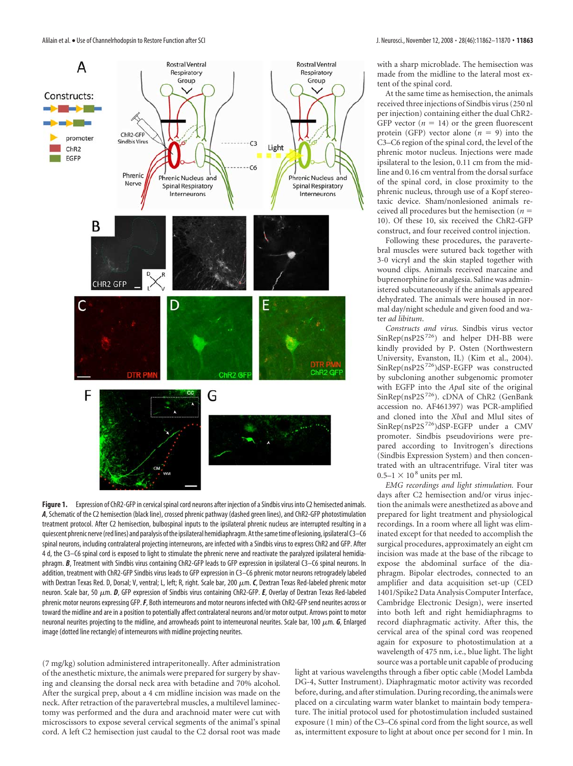

**Figure 1.** Expression of ChR2-GFP in cervical spinal cord neurons after injection of a Sindbis virus into C2 hemisected animals. *A*, Schematic of the C2 hemisection (black line), crossed phrenic pathway (dashed green lines), and ChR2-GFP photostimulation treatment protocol. After C2 hemisection, bulbospinal inputs to the ipsilateral phrenic nucleus are interrupted resulting in a quiescent phrenic nerve(red lines) and paralysis ofthe ipsilateral hemidiaphragm.Atthesametime of lesioning, ipsilateral C3–C6 spinal neurons, including contralateral projecting interneurons, are infected with a Sindbis virus to express ChR2 and GFP. After 4 d, the C3–C6 spinal cord is exposed to light to stimulate the phrenic nerve and reactivate the paralyzed ipsilateral hemidiaphragm. B, Treatment with Sindbis virus containing ChR2-GFP leads to GFP expression in ipsilateral C3-C6 spinal neurons. In addition, treatment with ChR2-GFP Sindbis virus leads to GFP expression in C3–C6 phrenic motor neurons retrogradely labeled with Dextran Texas Red. D, Dorsal; V, ventral; L, left; R, right. Scale bar, 200  $\mu$ m. *C*, Dextran Texas Red-labeled phrenic motor neuron. Scale bar, 50 μm. **D**, GFP expression of Sindbis virus containing ChR2-GFP. **E**, Overlay of Dextran Texas Red-labeled phrenic motor neurons expressing GFP.*F*, Both interneurons and motor neurons infected with ChR2-GFP send neurites across or toward the midline and are in a position to potentially affect contralateral neurons and/or motor output. Arrows point to motor neuronal neurites projecting to the midline, and arrowheads point to interneuronal neurites. Scale bar, 100  $\mu$ m. *G*, Enlarged image (dotted line rectangle) of interneurons with midline projecting neurites.

(7 mg/kg) solution administered intraperitoneally. After administration of the anesthetic mixture, the animals were prepared for surgery by shaving and cleansing the dorsal neck area with betadine and 70% alcohol. After the surgical prep, about a 4 cm midline incision was made on the neck. After retraction of the paravertebral muscles, a multilevel laminectomy was performed and the dura and arachnoid mater were cut with microscissors to expose several cervical segments of the animal's spinal cord. A left C2 hemisection just caudal to the C2 dorsal root was made

with a sharp microblade. The hemisection was made from the midline to the lateral most extent of the spinal cord.

At the same time as hemisection, the animals received three injections of Sindbis virus (250 nl per injection) containing either the dual ChR2- GFP vector  $(n = 14)$  or the green fluorescent protein (GFP) vector alone  $(n = 9)$  into the C3–C6 region of the spinal cord, the level of the phrenic motor nucleus. Injections were made ipsilateral to the lesion, 0.11 cm from the midline and 0.16 cm ventral from the dorsal surface of the spinal cord, in close proximity to the phrenic nucleus, through use of a Kopf stereotaxic device. Sham/nonlesioned animals received all procedures but the hemisection (*n* 10). Of these 10, six received the ChR2-GFP construct, and four received control injection.

Following these procedures, the paravertebral muscles were sutured back together with 3-0 vicryl and the skin stapled together with wound clips. Animals received marcaine and buprenorphine for analgesia. Saline was administered subcutaneously if the animals appeared dehydrated. The animals were housed in normal day/night schedule and given food and water *ad libitum*.

*Constructs and virus.* Sindbis virus vector  $SinRep(nsP2S<sup>726</sup>)$  and helper DH-BB were kindly provided by P. Osten (Northwestern University, Evanston, IL) (Kim et al., 2004). SinRep(nsP2S 726)dSP-EGFP was constructed by subcloning another subgenomic promoter with EGFP into the *Apa*I site of the original SinRep(nsP2S<sup>726</sup>). cDNA of ChR2 (GenBank accession no. AF461397) was PCR-amplified and cloned into the *Xba*I and MluI sites of SinRep(nsP2S 726)dSP-EGFP under a CMV promoter. Sindbis pseudovirions were prepared according to Invitrogen's directions (Sindbis Expression System) and then concentrated with an ultracentrifuge. Viral titer was  $0.5-1 \times 10^8$  units per ml.

*EMG recordings and light stimulation.* Four days after C2 hemisection and/or virus injection the animals were anesthetized as above and prepared for light treatment and physiological recordings. In a room where all light was eliminated except for that needed to accomplish the surgical procedures, approximately an eight cm incision was made at the base of the ribcage to expose the abdominal surface of the diaphragm. Bipolar electrodes, connected to an amplifier and data acquisition set-up (CED 1401/Spike2 Data Analysis Computer Interface, Cambridge Electronic Design), were inserted into both left and right hemidiaphragms to record diaphragmatic activity. After this, the cervical area of the spinal cord was reopened again for exposure to photostimulation at a wavelength of 475 nm, i.e., blue light. The light source was a portable unit capable of producing

light at various wavelengths through a fiber optic cable (Model Lambda DG-4, Sutter Instrument). Diaphragmatic motor activity was recorded before, during, and after stimulation. During recording, the animals were placed on a circulating warm water blanket to maintain body temperature. The initial protocol used for photostimulation included sustained exposure (1 min) of the C3–C6 spinal cord from the light source, as well as, intermittent exposure to light at about once per second for 1 min. In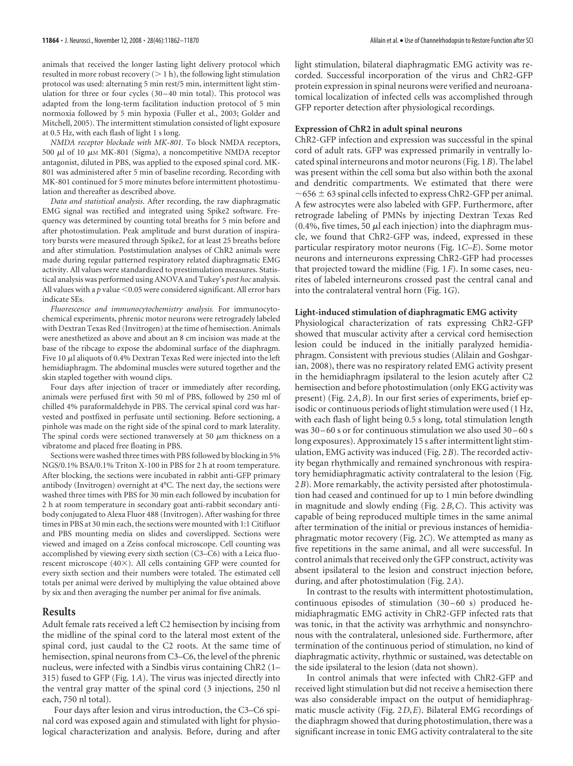animals that received the longer lasting light delivery protocol which resulted in more robust recovery  $($  > 1 h), the following light stimulation protocol was used: alternating 5 min rest/5 min, intermittent light stimulation for three or four cycles (30-40 min total). This protocol was adapted from the long-term facilitation induction protocol of 5 min normoxia followed by 5 min hypoxia (Fuller et al., 2003; Golder and Mitchell, 2005). The intermittent stimulation consisted of light exposure at 0.5 Hz, with each flash of light 1 s long.

*NMDA receptor blockade with MK-801.* To block NMDA receptors, 500  $\mu$ l of 10  $\mu$ M MK-801 (Sigma), a noncompetitive NMDA receptor antagonist, diluted in PBS, was applied to the exposed spinal cord. MK-801 was administered after 5 min of baseline recording. Recording with MK-801 continued for 5 more minutes before intermittent photostimulation and thereafter as described above.

*Data and statistical analysis.* After recording, the raw diaphragmatic EMG signal was rectified and integrated using Spike2 software. Frequency was determined by counting total breaths for 5 min before and after photostimulation. Peak amplitude and burst duration of inspiratory bursts were measured through Spike2, for at least 25 breaths before and after stimulation. Poststimulation analyses of ChR2 animals were made during regular patterned respiratory related diaphragmatic EMG activity. All values were standardized to prestimulation measures. Statistical analysis was performed using ANOVA and Tukey's *post hoc* analysis. All values with a  $p$  value  $<$  0.05 were considered significant. All error bars indicate SEs.

*Fluorescence and immunocytochemistry analysis.* For immunocytochemical experiments, phrenic motor neurons were retrogradely labeled with Dextran Texas Red (Invitrogen) at the time of hemisection. Animals were anesthetized as above and about an 8 cm incision was made at the base of the ribcage to expose the abdominal surface of the diaphragm. Five 10  $\mu$ l aliquots of 0.4% Dextran Texas Red were injected into the left hemidiaphragm. The abdominal muscles were sutured together and the skin stapled together with wound clips.

Four days after injection of tracer or immediately after recording, animals were perfused first with 50 ml of PBS, followed by 250 ml of chilled 4% paraformaldehyde in PBS. The cervical spinal cord was harvested and postfixed in perfusate until sectioning. Before sectioning, a pinhole was made on the right side of the spinal cord to mark laterality. The spinal cords were sectioned transversely at 50  $\mu$ m thickness on a vibratome and placed free floating in PBS.

Sections were washed three times with PBS followed by blocking in 5% NGS/0.1% BSA/0.1% Triton X-100 in PBS for 2 h at room temperature. After blocking, the sections were incubated in rabbit anti-GFP primary antibody (Invitrogen) overnight at 4°C. The next day, the sections were washed three times with PBS for 30 min each followed by incubation for 2 h at room temperature in secondary goat anti-rabbit secondary antibody conjugated to Alexa Fluor 488 (Invitrogen). After washing for three times in PBS at 30 min each, the sections were mounted with 1:1 Citifluor and PBS mounting media on slides and coverslipped. Sections were viewed and imaged on a Zeiss confocal microscope. Cell counting was accomplished by viewing every sixth section (C3–C6) with a Leica fluorescent microscope (40×). All cells containing GFP were counted for every sixth section and their numbers were totaled. The estimated cell totals per animal were derived by multiplying the value obtained above by six and then averaging the number per animal for five animals.

## **Results**

Adult female rats received a left C2 hemisection by incising from the midline of the spinal cord to the lateral most extent of the spinal cord, just caudal to the C2 roots. At the same time of hemisection, spinal neurons from C3–C6, the level of the phrenic nucleus, were infected with a Sindbis virus containing ChR2 (1– 315) fused to GFP (Fig. 1*A*). The virus was injected directly into the ventral gray matter of the spinal cord (3 injections, 250 nl each, 750 nl total).

Four days after lesion and virus introduction, the C3–C6 spinal cord was exposed again and stimulated with light for physiological characterization and analysis. Before, during and after

light stimulation, bilateral diaphragmatic EMG activity was recorded. Successful incorporation of the virus and ChR2-GFP protein expression in spinal neurons were verified and neuroanatomical localization of infected cells was accomplished through GFP reporter detection after physiological recordings.

#### **Expression of ChR2 in adult spinal neurons**

ChR2-GFP infection and expression was successful in the spinal cord of adult rats. GFP was expressed primarily in ventrally located spinal interneurons and motor neurons (Fig. 1*B*). The label was present within the cell soma but also within both the axonal and dendritic compartments. We estimated that there were  $\sim$  656  $\pm$  63 spinal cells infected to express ChR2-GFP per animal. A few astrocytes were also labeled with GFP. Furthermore, after retrograde labeling of PMNs by injecting Dextran Texas Red  $(0.4\%$ , five times, 50  $\mu$ l each injection) into the diaphragm muscle, we found that ChR2-GFP was, indeed, expressed in these particular respiratory motor neurons (Fig. 1*C–E*). Some motor neurons and interneurons expressing ChR2-GFP had processes that projected toward the midline (Fig. 1*F*). In some cases, neurites of labeled interneurons crossed past the central canal and into the contralateral ventral horn (Fig. 1*G*).

#### **Light-induced stimulation of diaphragmatic EMG activity**

Physiological characterization of rats expressing ChR2-GFP showed that muscular activity after a cervical cord hemisection lesion could be induced in the initially paralyzed hemidiaphragm. Consistent with previous studies (Alilain and Goshgarian, 2008), there was no respiratory related EMG activity present in the hemidiaphragm ipsilateral to the lesion acutely after C2 hemisection and before photostimulation (only EKG activity was present) (Fig. 2*A*,*B*). In our first series of experiments, brief episodic or continuous periods of light stimulation were used (1 Hz, with each flash of light being 0.5 s long, total stimulation length was  $30 - 60$  s or for continuous stimulation we also used  $30 - 60$  s long exposures). Approximately 15 s after intermittent light stimulation, EMG activity was induced (Fig. 2*B*). The recorded activity began rhythmically and remained synchronous with respiratory hemidiaphragmatic activity contralateral to the lesion (Fig. 2*B*). More remarkably, the activity persisted after photostimulation had ceased and continued for up to 1 min before dwindling in magnitude and slowly ending (Fig. 2*B*,*C*). This activity was capable of being reproduced multiple times in the same animal after termination of the initial or previous instances of hemidiaphragmatic motor recovery (Fig. 2*C*). We attempted as many as five repetitions in the same animal, and all were successful. In control animals that received only the GFP construct, activity was absent ipsilateral to the lesion and construct injection before, during, and after photostimulation (Fig. 2*A*).

In contrast to the results with intermittent photostimulation, continuous episodes of stimulation (30-60 s) produced hemidiaphragmatic EMG activity in ChR2-GFP infected rats that was tonic, in that the activity was arrhythmic and nonsynchronous with the contralateral, unlesioned side. Furthermore, after termination of the continuous period of stimulation, no kind of diaphragmatic activity, rhythmic or sustained, was detectable on the side ipsilateral to the lesion (data not shown).

In control animals that were infected with ChR2-GFP and received light stimulation but did not receive a hemisection there was also considerable impact on the output of hemidiaphragmatic muscle activity (Fig. 2*D*,*E*). Bilateral EMG recordings of the diaphragm showed that during photostimulation, there was a significant increase in tonic EMG activity contralateral to the site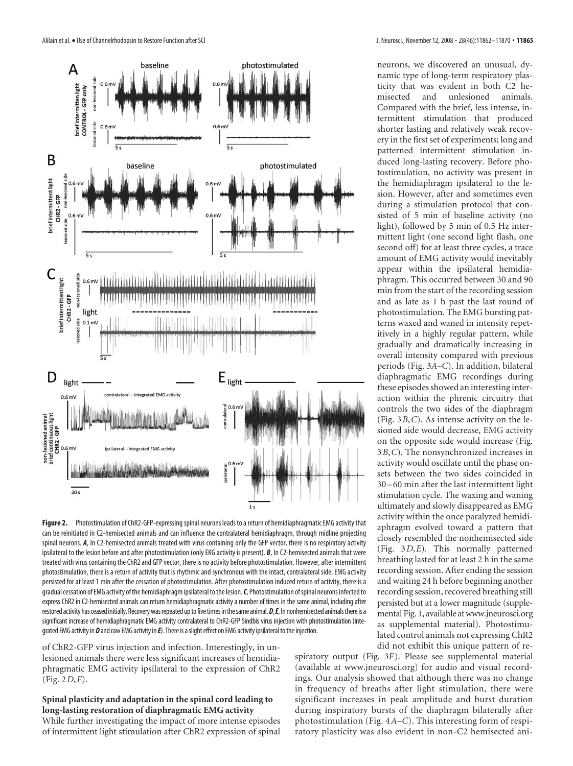

**Figure 2.** Photostimulation of ChR2-GFP-expressing spinal neurons leads to a return of hemidiaphragmatic EMG activity that can be reinitiated in C2-hemisected animals and can influence the contralateral hemidiaphragm, through midline projecting spinal neurons. *A*, In C2-hemisected animals treated with virus containing only the GFP vector, there is no respiratory activity ipsilateral to the lesion before and after photostimulation (only EKG activity is present). *B*, In C2-hemisected animals that were treated with virus containing the ChR2 and GFP vector, there is no activity before photostimulation. However, after intermittent photostimulation, there is a return of activity that is rhythmic and synchronous with the intact, contralateral side. EMG activity persisted for at least 1 min after the cessation of photostimulation. After photostimulation induced return of activity, there is a gradual cessation of EMG activity of the hemidiaphragm ipsilateral to the lesion. C, Photostimulation of spinal neurons infected to express ChR2 in C2-hemisected animals can return hemidiaphragmatic activity a number of times in the same animal, including after restored activity has ceased initially. Recovery was repeated up to five times in the same animal. D, E, In nonhemisected animals there is a significant increase of hemidiaphragmatic EMG activity contralateral to ChR2-GFP Sindbis virus injection with photostimulation (integrated EMG activity in *D* and raw EMG activity in *E*). There is a slight effect on EMG activity ipsilateral to the injection.

of ChR2-GFP virus injection and infection. Interestingly, in unlesioned animals there were less significant increases of hemidiaphragmatic EMG activity ipsilateral to the expression of ChR2 (Fig. 2*D*,*E*).

# **Spinal plasticity and adaptation in the spinal cord leading to long-lasting restoration of diaphragmatic EMG activity**

While further investigating the impact of more intense episodes of intermittent light stimulation after ChR2 expression of spinal neurons, we discovered an unusual, dynamic type of long-term respiratory plasticity that was evident in both C2 hemisected and unlesioned animals. Compared with the brief, less intense, intermittent stimulation that produced shorter lasting and relatively weak recovery in the first set of experiments; long and patterned intermittent stimulation induced long-lasting recovery. Before photostimulation, no activity was present in the hemidiaphragm ipsilateral to the lesion. However, after and sometimes even during a stimulation protocol that consisted of 5 min of baseline activity (no light), followed by 5 min of 0.5 Hz intermittent light (one second light flash, one second off) for at least three cycles, a trace amount of EMG activity would inevitably appear within the ipsilateral hemidiaphragm. This occurred between 30 and 90 min from the start of the recording session and as late as 1 h past the last round of photostimulation. The EMG bursting patterns waxed and waned in intensity repetitively in a highly regular pattern, while gradually and dramatically increasing in overall intensity compared with previous periods (Fig. 3*A–C*). In addition, bilateral diaphragmatic EMG recordings during these episodes showed an interesting interaction within the phrenic circuitry that controls the two sides of the diaphragm (Fig. 3*B*,*C*). As intense activity on the lesioned side would decrease, EMG activity on the opposite side would increase (Fig. 3*B*,*C*). The nonsynchronized increases in activity would oscillate until the phase onsets between the two sides coincided in 30 –60 min after the last intermittent light stimulation cycle. The waxing and waning ultimately and slowly disappeared as EMG activity within the once paralyzed hemidiaphragm evolved toward a pattern that closely resembled the nonhemisected side (Fig. 3*D*,*E*). This normally patterned breathing lasted for at least 2 h in the same recording session. After ending the session and waiting 24 h before beginning another recording session, recovered breathing still persisted but at a lower magnitude (supplemental Fig. 1, available atwww.jneurosci.org as supplemental material). Photostimulated control animals not expressing ChR2 did not exhibit this unique pattern of re-

spiratory output (Fig. 3*F*). Please see supplemental material (available at www.jneurosci.org) for audio and visual recordings. Our analysis showed that although there was no change in frequency of breaths after light stimulation, there were significant increases in peak amplitude and burst duration during inspiratory bursts of the diaphragm bilaterally after photostimulation (Fig. 4*A–C*). This interesting form of respiratory plasticity was also evident in non-C2 hemisected ani-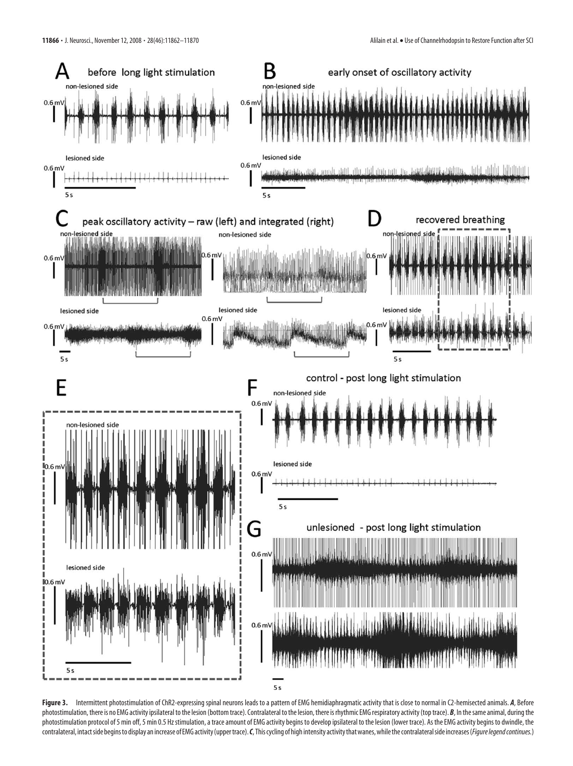

Figure 3. Intermittent photostimulation of ChR2-expressing spinal neurons leads to a pattern of EMG hemidiaphragmatic activity that is close to normal in C2-hemisected animals. *A*, Before photostimulation, there is no EMG activity ipsilateral to the lesion (bottom trace). Contralateral to the lesion, there is rhythmic EMG respiratory activity (top trace). *B*, In the same animal, during the photostimulation protocol of 5 min off, 5 min 0.5 Hz stimulation, a trace amount of EMG activity begins to develop ipsilateral to the lesion (lower trace). As the EMG activity begins to dwindle, the contralateral, intact side begins to display an increase of EMG activity (upper trace). *C*, This cycling of high intensity activity that wanes, while the contralateral side increases (*Figure legend continues*.)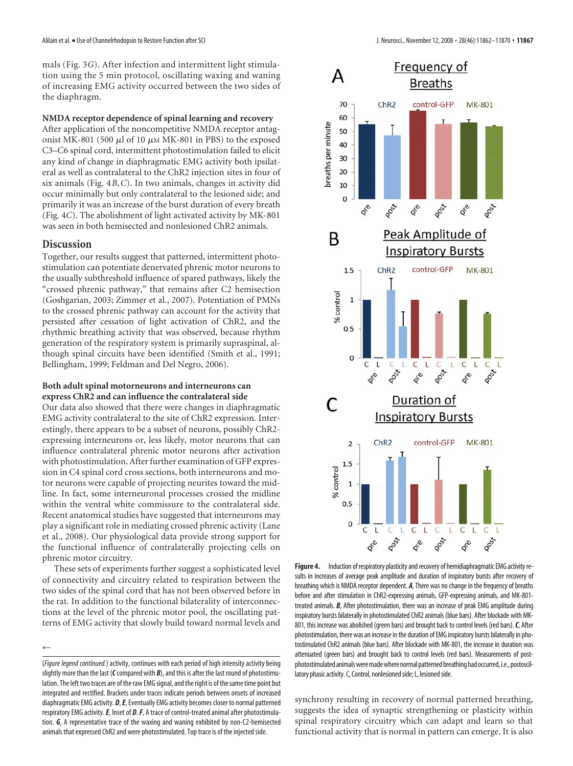mals (Fig. 3*G*). After infection and intermittent light stimulation using the 5 min protocol, oscillating waxing and waning of increasing EMG activity occurred between the two sides of the diaphragm.

## **NMDA receptor dependence of spinal learning and recovery**

After application of the noncompetitive NMDA receptor antagonist MK-801 (500  $\mu$ l of 10  $\mu$ M MK-801 in PBS) to the exposed C3–C6 spinal cord, intermittent photostimulation failed to elicit any kind of change in diaphragmatic EMG activity both ipsilateral as well as contralateral to the ChR2 injection sites in four of six animals (Fig. 4*B*,*C*). In two animals, changes in activity did occur minimally but only contralateral to the lesioned side; and primarily it was an increase of the burst duration of every breath (Fig. 4*C*). The abolishment of light activated activity by MK-801 was seen in both hemisected and nonlesioned ChR2 animals.

# **Discussion**

 $\leftarrow$ 

Together, our results suggest that patterned, intermittent photostimulation can potentiate denervated phrenic motor neurons to the usually subthreshold influence of spared pathways, likely the "crossed phrenic pathway," that remains after C2 hemisection (Goshgarian, 2003; Zimmer et al., 2007). Potentiation of PMNs to the crossed phrenic pathway can account for the activity that persisted after cessation of light activation of ChR2, and the rhythmic breathing activity that was observed, because rhythm generation of the respiratory system is primarily supraspinal, although spinal circuits have been identified (Smith et al., 1991; Bellingham, 1999; Feldman and Del Negro, 2006).

### **Both adult spinal motorneurons and interneurons can express ChR2 and can influence the contralateral side**

Our data also showed that there were changes in diaphragmatic EMG activity contralateral to the site of ChR2 expression. Interestingly, there appears to be a subset of neurons, possibly ChR2 expressing interneurons or, less likely, motor neurons that can influence contralateral phrenic motor neurons after activation with photostimulation. After further examination of GFP expression in C4 spinal cord cross sections, both interneurons and motor neurons were capable of projecting neurites toward the midline. In fact, some interneuronal processes crossed the midline within the ventral white commissure to the contralateral side. Recent anatomical studies have suggested that interneurons may play a significant role in mediating crossed phrenic activity (Lane et al., 2008). Our physiological data provide strong support for the functional influence of contralaterally projecting cells on phrenic motor circuitry.

These sets of experiments further suggest a sophisticated level of connectivity and circuitry related to respiration between the two sides of the spinal cord that has not been observed before in the rat. In addition to the functional bilaterality of interconnections at the level of the phrenic motor pool, the oscillating patterns of EMG activity that slowly build toward normal levels and

(*Figure legend continued.*) activity, continues with each period of high intensity activity being slightly more than the last (*C*compared with *B*), and this is after the last round of photostimulation. The left two traces are of the raw EMG signal, and the right is of the same time point but integrated and rectified. Brackets under traces indicate periods between onsets of increased diaphragmatic EMG activity. *D*,*E*, Eventually EMG activity becomes closer to normal patterned respiratory EMG activity.*E*, Inset of *D*.*F*, A trace of control-treated animal after photostimulation. *G*, A representative trace of the waxing and waning exhibited by non-C2-hemisected animals that expressed ChR2 and were photostimulated. Top trace is of the injected side.



**Figure 4.** Induction of respiratory plasticity and recovery of hemidiaphragmatic EMG activity results in increases of average peak amplitude and duration of inspiratory bursts after recovery of breathing which is NMDA receptor dependent. *A*, There was no change in the frequency of breaths before and after stimulation in ChR2-expressing animals, GFP-expressing animals, and MK-801 treated animals. *B*, After photostimulation, there was an increase of peak EMG amplitude during inspiratory bursts bilaterally in photostimulated ChR2 animals (blue bars). After blockade with MK-801, this increase was abolished (green bars) and brought back to control levels (red bars).*C*, After photostimulation, there was an increase in the duration of EMG inspiratory bursts bilaterally in photostimulated ChR2 animals (blue bars). After blockade with MK-801, the increase in duration was attenuated (green bars) and brought back to control levels (red bars). Measurements of postphotostimulated animals were made where normal patterned breathing had occurred, i.e., postoscillatory phasic activity. C, Control, nonlesioned side; L, lesioned side.

synchrony resulting in recovery of normal patterned breathing, suggests the idea of synaptic strengthening or plasticity within spinal respiratory circuitry which can adapt and learn so that functional activity that is normal in pattern can emerge. It is also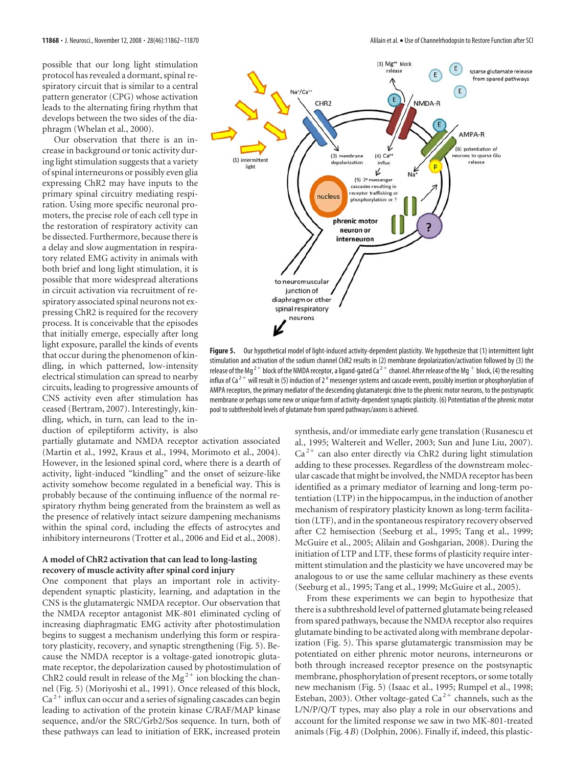possible that our long light stimulation protocol has revealed a dormant, spinal respiratory circuit that is similar to a central pattern generator (CPG) whose activation leads to the alternating firing rhythm that develops between the two sides of the diaphragm (Whelan et al., 2000).

Our observation that there is an increase in background or tonic activity during light stimulation suggests that a variety of spinal interneurons or possibly even glia expressing ChR2 may have inputs to the primary spinal circuitry mediating respiration. Using more specific neuronal promoters, the precise role of each cell type in the restoration of respiratory activity can be dissected. Furthermore, because there is a delay and slow augmentation in respiratory related EMG activity in animals with both brief and long light stimulation, it is possible that more widespread alterations in circuit activation via recruitment of respiratory associated spinal neurons not expressing ChR2 is required for the recovery process. It is conceivable that the episodes that initially emerge, especially after long light exposure, parallel the kinds of events that occur during the phenomenon of kindling, in which patterned, low-intensity electrical stimulation can spread to nearby circuits, leading to progressive amounts of CNS activity even after stimulation has ceased (Bertram, 2007). Interestingly, kindling, which, in turn, can lead to the induction of epileptiform activity, is also

partially glutamate and NMDA receptor activation associated (Martin et al., 1992, Kraus et al., 1994, Morimoto et al., 2004). However, in the lesioned spinal cord, where there is a dearth of activity, light-induced "kindling" and the onset of seizure-like activity somehow become regulated in a beneficial way. This is probably because of the continuing influence of the normal respiratory rhythm being generated from the brainstem as well as the presence of relatively intact seizure dampening mechanisms within the spinal cord, including the effects of astrocytes and inhibitory interneurons (Trotter et al., 2006 and Eid et al., 2008).

# **A model of ChR2 activation that can lead to long-lasting recovery of muscle activity after spinal cord injury**

One component that plays an important role in activitydependent synaptic plasticity, learning, and adaptation in the CNS is the glutamatergic NMDA receptor. Our observation that the NMDA receptor antagonist MK-801 eliminated cycling of increasing diaphragmatic EMG activity after photostimulation begins to suggest a mechanism underlying this form or respiratory plasticity, recovery, and synaptic strengthening (Fig. 5). Because the NMDA receptor is a voltage-gated ionotropic glutamate receptor, the depolarization caused by photostimulation of ChR2 could result in release of the Mg<sup>2+</sup> ion blocking the channel (Fig. 5) (Moriyoshi et al., 1991). Once released of this block,  $Ca<sup>2+</sup>$  influx can occur and a series of signaling cascades can begin leading to activation of the protein kinase C/RAF/MAP kinase sequence, and/or the SRC/Grb2/Sos sequence. In turn, both of these pathways can lead to initiation of ERK, increased protein



**Figure 5.** Our hypothetical model of light-induced activity-dependent plasticity. We hypothesize that (1) intermittent light stimulation and activation of the sodium channel ChR2 results in (2) membrane depolarization/activation followed by (3) the release of the Mg<sup>2+</sup> block of the NMDA receptor, a ligand-gated Ca<sup>2+</sup> channel. After release of the Mg<sup>+</sup> block, (4) the resulting influx of Ca  $^{2+}$  will result in (5) induction of 2  $^{\rm o}$  messenger systems and cascade events, possibly insertion or phosphorylation of AMPA receptors, the primary mediator of the descending glutamatergic drive to the phrenic motor neurons, to the postsynaptic membrane or perhaps some new or unique form of activity-dependent synaptic plasticity. (6) Potentiation of the phrenic motor pool to subthreshold levels of glutamate from spared pathways/axons is achieved.

synthesis, and/or immediate early gene translation (Rusanescu et al., 1995; Waltereit and Weller, 2003; Sun and June Liu, 2007).  $Ca<sup>2+</sup>$  can also enter directly via ChR2 during light stimulation adding to these processes. Regardless of the downstream molecular cascade that might be involved, the NMDA receptor has been identified as a primary mediator of learning and long-term potentiation (LTP) in the hippocampus, in the induction of another mechanism of respiratory plasticity known as long-term facilitation (LTF), and in the spontaneous respiratory recovery observed after C2 hemisection (Seeburg et al., 1995; Tang et al., 1999; McGuire et al., 2005; Alilain and Goshgarian, 2008). During the initiation of LTP and LTF, these forms of plasticity require intermittent stimulation and the plasticity we have uncovered may be analogous to or use the same cellular machinery as these events (Seeburg et al., 1995; Tang et al., 1999; McGuire et al., 2005).

From these experiments we can begin to hypothesize that there is a subthreshold level of patterned glutamate being released from spared pathways, because the NMDA receptor also requires glutamate binding to be activated along with membrane depolarization (Fig. 5). This sparse glutamatergic transmission may be potentiated on either phrenic motor neurons, interneurons or both through increased receptor presence on the postsynaptic membrane, phosphorylation of present receptors, or some totally new mechanism (Fig. 5) (Isaac et al., 1995; Rumpel et al., 1998; Esteban, 2003). Other voltage-gated Ca<sup>2+</sup> channels, such as the L/N/P/Q/T types, may also play a role in our observations and account for the limited response we saw in two MK-801-treated animals (Fig. 4*B*) (Dolphin, 2006). Finally if, indeed, this plastic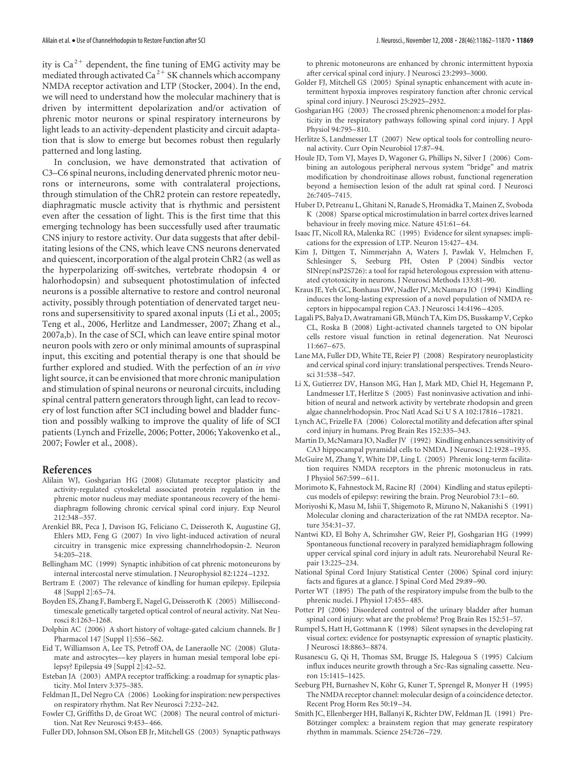ity is  $Ca<sup>2+</sup>$  dependent, the fine tuning of EMG activity may be mediated through activated  $Ca^{2+}$  SK channels which accompany NMDA receptor activation and LTP (Stocker, 2004). In the end, we will need to understand how the molecular machinery that is driven by intermittent depolarization and/or activation of phrenic motor neurons or spinal respiratory interneurons by light leads to an activity-dependent plasticity and circuit adaptation that is slow to emerge but becomes robust then regularly patterned and long lasting.

In conclusion, we have demonstrated that activation of C3–C6 spinal neurons, including denervated phrenic motor neurons or interneurons, some with contralateral projections, through stimulation of the ChR2 protein can restore repeatedly, diaphragmatic muscle activity that is rhythmic and persistent even after the cessation of light. This is the first time that this emerging technology has been successfully used after traumatic CNS injury to restore activity. Our data suggests that after debilitating lesions of the CNS, which leave CNS neurons denervated and quiescent, incorporation of the algal protein ChR2 (as well as the hyperpolarizing off-switches, vertebrate rhodopsin 4 or halorhodopsin) and subsequent photostimulation of infected neurons is a possible alternative to restore and control neuronal activity, possibly through potentiation of denervated target neurons and supersensitivity to spared axonal inputs (Li et al., 2005; Teng et al., 2006, Herlitze and Landmesser, 2007; Zhang et al., 2007a,b). In the case of SCI, which can leave entire spinal motor neuron pools with zero or only minimal amounts of supraspinal input, this exciting and potential therapy is one that should be further explored and studied. With the perfection of an *in vivo* light source, it can be envisioned that more chronic manipulation and stimulation of spinal neurons or neuronal circuits, including spinal central pattern generators through light, can lead to recovery of lost function after SCI including bowel and bladder function and possibly walking to improve the quality of life of SCI patients (Lynch and Frizelle, 2006; Potter, 2006; Yakovenko et al., 2007; Fowler et al., 2008).

# **References**

- Alilain WJ, Goshgarian HG (2008) Glutamate receptor plasticity and activity-regulated cytoskeletal associated protein regulation in the phrenic motor nucleus may mediate spontaneous recovery of the hemidiaphragm following chronic cervical spinal cord injury. Exp Neurol 212:348 –357.
- Arenkiel BR, Peca J, Davison IG, Feliciano C, Deisseroth K, Augustine GJ, Ehlers MD, Feng G (2007) In vivo light-induced activation of neural circuitry in transgenic mice expressing channelrhodopsin-2. Neuron 54:205–218.
- Bellingham MC (1999) Synaptic inhibition of cat phrenic motoneurons by internal intercostal nerve stimulation. J Neurophysiol 82:1224 –1232.
- Bertram E (2007) The relevance of kindling for human epilepsy. Epilepsia 48 [Suppl 2]:65–74.
- Boyden ES, Zhang F, Bamberg E, Nagel G, Deisseroth K (2005) Millisecondtimescale genetically targeted optical control of neural activity. Nat Neurosci 8:1263–1268.
- Dolphin AC (2006) A short history of voltage-gated calcium channels. Br J Pharmacol 147 [Suppl 1]:S56 –S62.
- Eid T, Williamson A, Lee TS, Petroff OA, de Laneraolle NC (2008) Glutamate and astrocytes—key players in human mesial temporal lobe epilepsy? Epilepsia 49 [Suppl 2]:42–52.
- Esteban JA (2003) AMPA receptor trafficking: a roadmap for synaptic plasticity. Mol Interv 3:375–385.
- Feldman JL, Del Negro CA (2006) Looking for inspiration: new perspectives on respiratory rhythm. Nat Rev Neurosci 7:232–242.
- Fowler CJ, Griffiths D, de Groat WC (2008) The neural control of micturition. Nat Rev Neurosci 9:453–466.
- Fuller DD, Johnson SM, Olson EB Jr, Mitchell GS (2003) Synaptic pathways

to phrenic motoneurons are enhanced by chronic intermittent hypoxia after cervical spinal cord injury. J Neurosci 23:2993–3000.

- Golder FJ, Mitchell GS (2005) Spinal synaptic enhancement with acute intermittent hypoxia improves respiratory function after chronic cervical spinal cord injury. J Neurosci 25:2925–2932.
- Goshgarian HG (2003) The crossed phrenic phenomenon: a model for plasticity in the respiratory pathways following spinal cord injury. J Appl Physiol 94:795–810.
- Herlitze S, Landmesser LT (2007) New optical tools for controlling neuronal activity. Curr Opin Neurobiol 17:87–94.
- Houle JD, Tom VJ, Mayes D, Wagoner G, Phillips N, Silver J (2006) Combining an autologous peripheral nervous system "bridge" and matrix modification by chondroitinase allows robust, functional regeneration beyond a hemisection lesion of the adult rat spinal cord. J Neurosci 26:7405–7415.
- Huber D, Petreanu L, Ghitani N, Ranade S, Hromádka T, Mainen Z, Svoboda K (2008) Sparse optical microstimulation in barrel cortex drives learned behaviour in freely moving mice. Nature 451:61–64.
- Isaac JT, Nicoll RA, Malenka RC (1995) Evidence for silent synapses: implications for the expression of LTP. Neuron 15:427–434.
- Kim J, Dittgen T, Nimmerjahn A, Waters J, Pawlak V, Helmchen F, Schlesinger S, Seeburg PH, Osten P (2004) Sindbis vector SINrep(nsP2S726): a tool for rapid heterologous expression with attenuated cytotoxicity in neurons. J Neurosci Methods 133:81–90.
- Kraus JE, Yeh GC, Bonhaus DW, Nadler JV, McNamara JO (1994) Kindling induces the long-lasting expression of a novel population of NMDA receptors in hippocampal region CA3. J Neurosci 14:4196 –4205.
- Lagali PS, Balya D, Awatramani GB, Münch TA, Kim DS, Busskamp V, Cepko CL, Roska B (2008) Light-activated channels targeted to ON bipolar cells restore visual function in retinal degeneration. Nat Neurosci 11:667–675.
- Lane MA, Fuller DD, White TE, Reier PJ (2008) Respiratory neuroplasticity and cervical spinal cord injury: translational perspectives. Trends Neurosci 31:538 –547.
- Li X, Gutierrez DV, Hanson MG, Han J, Mark MD, Chiel H, Hegemann P, Landmesser LT, Herlitze S (2005) Fast noninvasive activation and inhibition of neural and network activity by vertebrate rhodopsin and green algae channelrhodopsin. Proc Natl Acad Sci U S A 102:17816 –17821.
- Lynch AC, Frizelle FA (2006) Colorectal motility and defecation after spinal cord injury in humans. Prog Brain Res 152:335–343.
- Martin D, McNamara JO, Nadler JV (1992) Kindling enhances sensitivity of CA3 hippocampal pyramidal cells to NMDA. J Neurosci 12:1928 –1935.
- McGuire M, Zhang Y, White DP, Ling L (2005) Phrenic long-term facilitation requires NMDA receptors in the phrenic motonucleus in rats. J Physiol 567:599 –611.
- Morimoto K, Fahnestock M, Racine RJ (2004) Kindling and status epilepticus models of epilepsy: rewiring the brain. Prog Neurobiol 73:1–60.
- Moriyoshi K, Masu M, Ishii T, Shigemoto R, Mizuno N, Nakanishi S (1991) Molecular cloning and characterization of the rat NMDA receptor. Nature 354:31–37.
- Nantwi KD, El Bohy A, Schrimsher GW, Reier PJ, Goshgarian HG (1999) Spontaneous functional recovery in paralyzed hemidiaphragm following upper cervical spinal cord injury in adult rats. Neurorehabil Neural Repair 13:225–234.
- National Spinal Cord Injury Statistical Center (2006) Spinal cord injury: facts and figures at a glance. J Spinal Cord Med 29:89 –90.
- Porter WT (1895) The path of the respiratory impulse from the bulb to the phrenic nuclei. J Physiol 17:455–485.
- Potter PJ (2006) Disordered control of the urinary bladder after human spinal cord injury: what are the problems? Prog Brain Res 152:51–57.
- Rumpel S, Hatt H, Gottmann K (1998) Silent synapses in the developing rat visual cortex: evidence for postsynaptic expression of synaptic plasticity. J Neurosci 18:8863–8874.
- Rusanescu G, Qi H, Thomas SM, Brugge JS, Halegoua S (1995) Calcium influx induces neurite growth through a Src-Ras signaling cassette. Neuron 15:1415–1425.
- Seeburg PH, Burnashev N, Köhr G, Kuner T, Sprengel R, Monyer H (1995) The NMDA receptor channel: molecular design of a coincidence detector. Recent Prog Horm Res 50:19 –34.
- Smith JC, Ellenberger HH, Ballanyi K, Richter DW, Feldman JL (1991) Pre-Bötzinger complex: a brainstem region that may generate respiratory rhythm in mammals. Science 254:726 –729.